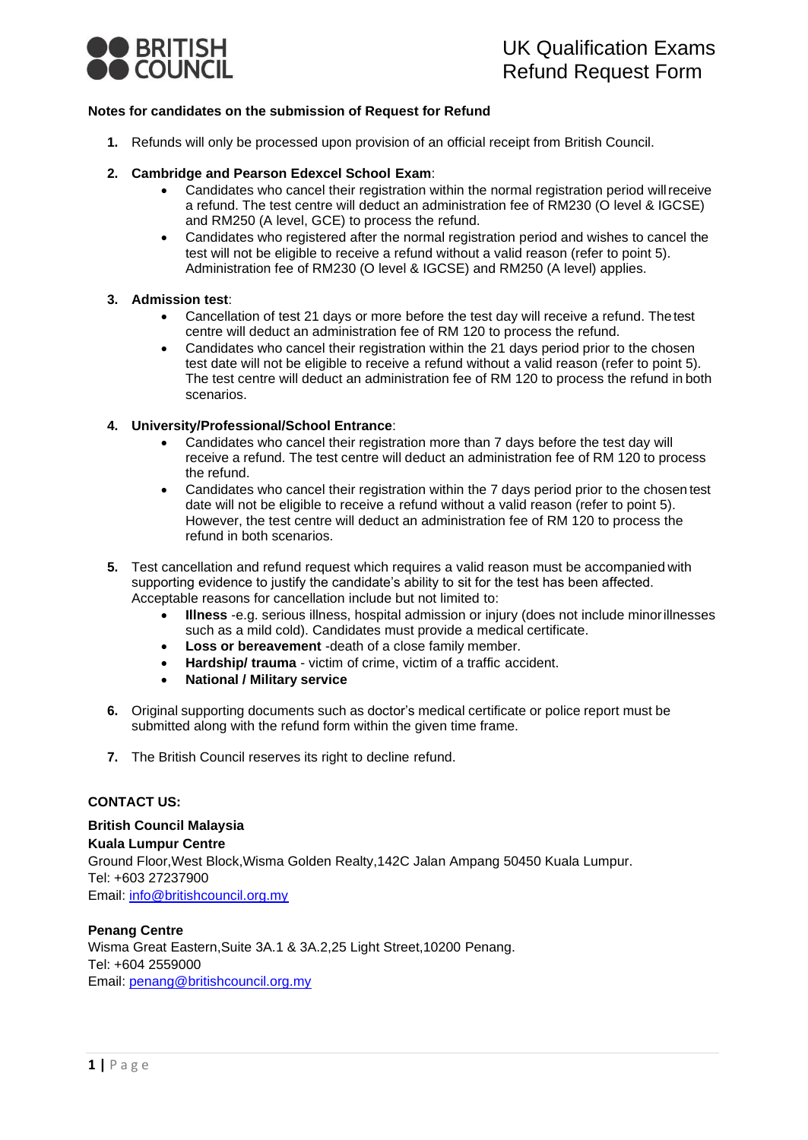

## **Notes for candidates on the submission of Request for Refund**

**1.** Refunds will only be processed upon provision of an official receipt from British Council.

## **2. Cambridge and Pearson Edexcel School Exam**:

- Candidates who cancel their registration within the normal registration period willreceive a refund. The test centre will deduct an administration fee of RM230 (O level & IGCSE) and RM250 (A level, GCE) to process the refund.
- Candidates who registered after the normal registration period and wishes to cancel the test will not be eligible to receive a refund without a valid reason (refer to point 5). Administration fee of RM230 (O level & IGCSE) and RM250 (A level) applies.

## **3. Admission test**:

- Cancellation of test 21 days or more before the test day will receive a refund. Thetest centre will deduct an administration fee of RM 120 to process the refund.
- Candidates who cancel their registration within the 21 days period prior to the chosen test date will not be eligible to receive a refund without a valid reason (refer to point 5). The test centre will deduct an administration fee of RM 120 to process the refund in both scenarios.

## **4. University/Professional/School Entrance**:

- Candidates who cancel their registration more than 7 days before the test day will receive a refund. The test centre will deduct an administration fee of RM 120 to process the refund.
- Candidates who cancel their registration within the 7 days period prior to the chosen test date will not be eligible to receive a refund without a valid reason (refer to point 5). However, the test centre will deduct an administration fee of RM 120 to process the refund in both scenarios.
- **5.** Test cancellation and refund request which requires a valid reason must be accompanied with supporting evidence to justify the candidate's ability to sit for the test has been affected. Acceptable reasons for cancellation include but not limited to:
	- **Illness** -e.g. serious illness, hospital admission or injury (does not include minorillnesses such as a mild cold). Candidates must provide a medical certificate.
	- **Loss or bereavement** -death of a close family member.
	- **Hardship/ trauma**  victim of crime, victim of a traffic accident.
	- **National / Military service**
- **6.** Original supporting documents such as doctor's medical certificate or police report must be submitted along with the refund form within the given time frame.
- **7.** The British Council reserves its right to decline refund.

# **CONTACT US:**

**British Council Malaysia Kuala Lumpur Centre** Ground Floor,West Block,Wisma Golden Realty,142C Jalan Ampang 50450 Kuala Lumpur. Tel: +603 27237900 Email: [info@britishcouncil.org.my](mailto:info@britishcouncil.org.my)

# **Penang Centre**

Wisma Great Eastern,Suite 3A.1 & 3A.2,25 Light Street,10200 Penang. Tel: +604 2559000 Email: [penang@britishcouncil.org.my](mailto:penang@britishcouncil.org.my)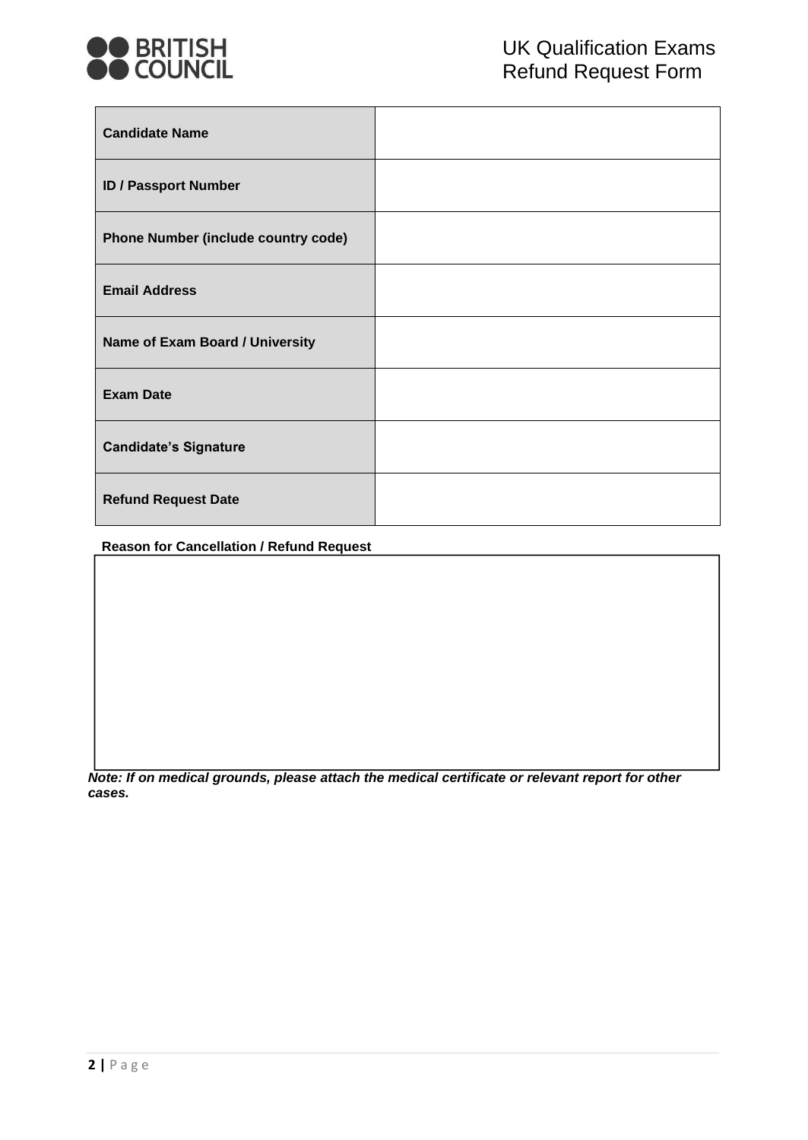

| <b>Candidate Name</b>                      |  |
|--------------------------------------------|--|
| <b>ID / Passport Number</b>                |  |
| <b>Phone Number (include country code)</b> |  |
| <b>Email Address</b>                       |  |
| Name of Exam Board / University            |  |
| <b>Exam Date</b>                           |  |
| <b>Candidate's Signature</b>               |  |
| <b>Refund Request Date</b>                 |  |

**Reason for Cancellation / Refund Request**

*Note: If on medical grounds, please attach the medical certificate or relevant report for other cases.*